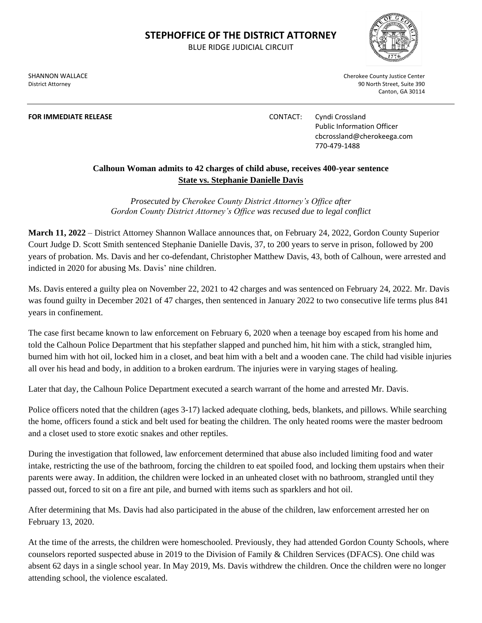## **STEPHOFFICE OF THE DISTRICT ATTORNEY**

BLUE RIDGE JUDICIAL CIRCUIT

District Attorney 90 North Street, Suite 390

SHANNON WALLACE **Cherokee County Justice Center** Cherokee County Justice Center

Canton, GA 30114

**FOR IMMEDIATE RELEASE CONTACT:** Cyndi Crossland Public Information Officer cbcrossland@cherokeega.com 770-479-1488

## **Calhoun Woman admits to 42 charges of child abuse, receives 400-year sentence State vs. Stephanie Danielle Davis**

*Prosecuted by Cherokee County District Attorney's Office after Gordon County District Attorney's Office was recused due to legal conflict*

**March 11, 2022** – District Attorney Shannon Wallace announces that, on February 24, 2022, Gordon County Superior Court Judge D. Scott Smith sentenced Stephanie Danielle Davis, 37, to 200 years to serve in prison, followed by 200 years of probation. Ms. Davis and her co-defendant, Christopher Matthew Davis, 43, both of Calhoun, were arrested and indicted in 2020 for abusing Ms. Davis' nine children.

Ms. Davis entered a guilty plea on November 22, 2021 to 42 charges and was sentenced on February 24, 2022. Mr. Davis was found guilty in December 2021 of 47 charges, then sentenced in January 2022 to two consecutive life terms plus 841 years in confinement.

The case first became known to law enforcement on February 6, 2020 when a teenage boy escaped from his home and told the Calhoun Police Department that his stepfather slapped and punched him, hit him with a stick, strangled him, burned him with hot oil, locked him in a closet, and beat him with a belt and a wooden cane. The child had visible injuries all over his head and body, in addition to a broken eardrum. The injuries were in varying stages of healing.

Later that day, the Calhoun Police Department executed a search warrant of the home and arrested Mr. Davis.

Police officers noted that the children (ages 3-17) lacked adequate clothing, beds, blankets, and pillows. While searching the home, officers found a stick and belt used for beating the children. The only heated rooms were the master bedroom and a closet used to store exotic snakes and other reptiles.

During the investigation that followed, law enforcement determined that abuse also included limiting food and water intake, restricting the use of the bathroom, forcing the children to eat spoiled food, and locking them upstairs when their parents were away. In addition, the children were locked in an unheated closet with no bathroom, strangled until they passed out, forced to sit on a fire ant pile, and burned with items such as sparklers and hot oil.

After determining that Ms. Davis had also participated in the abuse of the children, law enforcement arrested her on February 13, 2020.

At the time of the arrests, the children were homeschooled. Previously, they had attended Gordon County Schools, where counselors reported suspected abuse in 2019 to the Division of Family & Children Services (DFACS). One child was absent 62 days in a single school year. In May 2019, Ms. Davis withdrew the children. Once the children were no longer attending school, the violence escalated.